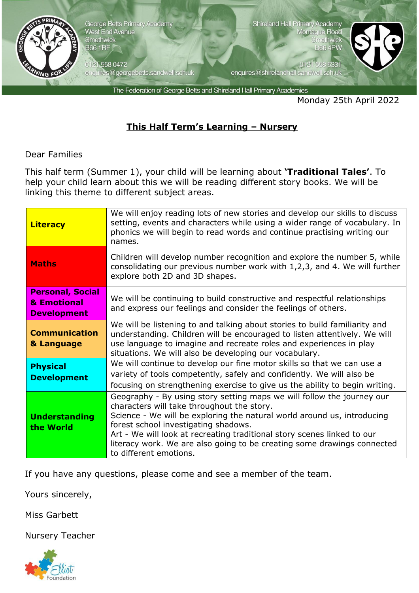

George Betts Primary Academy West End Avenue<br>Smethwick **B66 1RF** 

0121 558 0472 enquires@georgebetts.sandwell.sch.uk Shireland Hall Primary Academy Montague Road Smethwic **B66 4PW** 

enquires@shirelandhall.sandwell.sch.uk

0121 558 6331



The Federation of George Betts and Shireland Hall Primary Academies

Monday 25th April 2022

## **This Half Term's Learning – Nursery**

Dear Families

This half term (Summer 1), your child will be learning about **'Traditional Tales'**. To help your child learn about this we will be reading different story books. We will be linking this theme to different subject areas.

| <b>Literacy</b>                                              | We will enjoy reading lots of new stories and develop our skills to discuss<br>setting, events and characters while using a wider range of vocabulary. In<br>phonics we will begin to read words and continue practising writing our<br>names.                                                                                                                                                                          |
|--------------------------------------------------------------|-------------------------------------------------------------------------------------------------------------------------------------------------------------------------------------------------------------------------------------------------------------------------------------------------------------------------------------------------------------------------------------------------------------------------|
| <b>Maths</b>                                                 | Children will develop number recognition and explore the number 5, while<br>consolidating our previous number work with 1,2,3, and 4. We will further<br>explore both 2D and 3D shapes.                                                                                                                                                                                                                                 |
| <b>Personal, Social</b><br>& Emotional<br><b>Development</b> | We will be continuing to build constructive and respectful relationships<br>and express our feelings and consider the feelings of others.                                                                                                                                                                                                                                                                               |
| <b>Communication</b><br>& Language                           | We will be listening to and talking about stories to build familiarity and<br>understanding. Children will be encouraged to listen attentively. We will<br>use language to imagine and recreate roles and experiences in play<br>situations. We will also be developing our vocabulary.                                                                                                                                 |
| <b>Physical</b><br><b>Development</b>                        | We will continue to develop our fine motor skills so that we can use a<br>variety of tools competently, safely and confidently. We will also be<br>focusing on strengthening exercise to give us the ability to begin writing.                                                                                                                                                                                          |
| <b>Understanding</b><br>the World                            | Geography - By using story setting maps we will follow the journey our<br>characters will take throughout the story.<br>Science - We will be exploring the natural world around us, introducing<br>forest school investigating shadows.<br>Art - We will look at recreating traditional story scenes linked to our<br>literacy work. We are also going to be creating some drawings connected<br>to different emotions. |

If you have any questions, please come and see a member of the team.

Yours sincerely,

Miss Garbett

Nursery Teacher